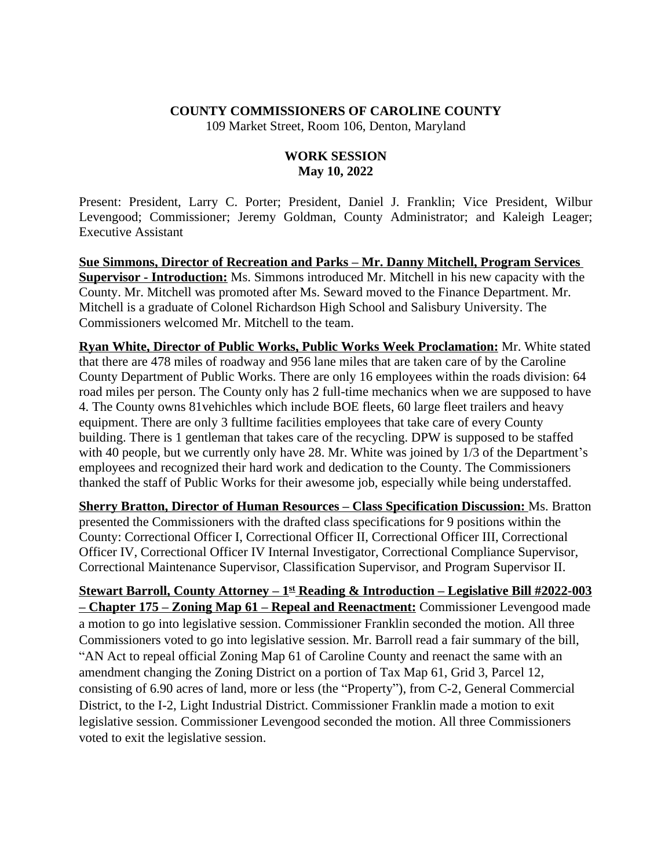## **COUNTY COMMISSIONERS OF CAROLINE COUNTY**

109 Market Street, Room 106, Denton, Maryland

## **WORK SESSION May 10, 2022**

Present: President, Larry C. Porter; President, Daniel J. Franklin; Vice President, Wilbur Levengood; Commissioner; Jeremy Goldman, County Administrator; and Kaleigh Leager; Executive Assistant

**Sue Simmons, Director of Recreation and Parks – Mr. Danny Mitchell, Program Services Supervisor - Introduction:** Ms. Simmons introduced Mr. Mitchell in his new capacity with the County. Mr. Mitchell was promoted after Ms. Seward moved to the Finance Department. Mr. Mitchell is a graduate of Colonel Richardson High School and Salisbury University. The Commissioners welcomed Mr. Mitchell to the team.

**Ryan White, Director of Public Works, Public Works Week Proclamation:** Mr. White stated that there are 478 miles of roadway and 956 lane miles that are taken care of by the Caroline County Department of Public Works. There are only 16 employees within the roads division: 64 road miles per person. The County only has 2 full-time mechanics when we are supposed to have 4. The County owns 81vehichles which include BOE fleets, 60 large fleet trailers and heavy equipment. There are only 3 fulltime facilities employees that take care of every County building. There is 1 gentleman that takes care of the recycling. DPW is supposed to be staffed with 40 people, but we currently only have 28. Mr. White was joined by 1/3 of the Department's employees and recognized their hard work and dedication to the County. The Commissioners thanked the staff of Public Works for their awesome job, especially while being understaffed.

**Sherry Bratton, Director of Human Resources – Class Specification Discussion: Ms. Bratton** presented the Commissioners with the drafted class specifications for 9 positions within the County: Correctional Officer I, Correctional Officer II, Correctional Officer III, Correctional Officer IV, Correctional Officer IV Internal Investigator, Correctional Compliance Supervisor, Correctional Maintenance Supervisor, Classification Supervisor, and Program Supervisor II.

**Stewart Barroll, County Attorney – 1st Reading & Introduction – Legislative Bill #2022-003 – Chapter 175 – Zoning Map 61 – Repeal and Reenactment:** Commissioner Levengood made a motion to go into legislative session. Commissioner Franklin seconded the motion. All three Commissioners voted to go into legislative session. Mr. Barroll read a fair summary of the bill, "AN Act to repeal official Zoning Map 61 of Caroline County and reenact the same with an amendment changing the Zoning District on a portion of Tax Map 61, Grid 3, Parcel 12, consisting of 6.90 acres of land, more or less (the "Property"), from C-2, General Commercial District, to the I-2, Light Industrial District. Commissioner Franklin made a motion to exit legislative session. Commissioner Levengood seconded the motion. All three Commissioners voted to exit the legislative session.